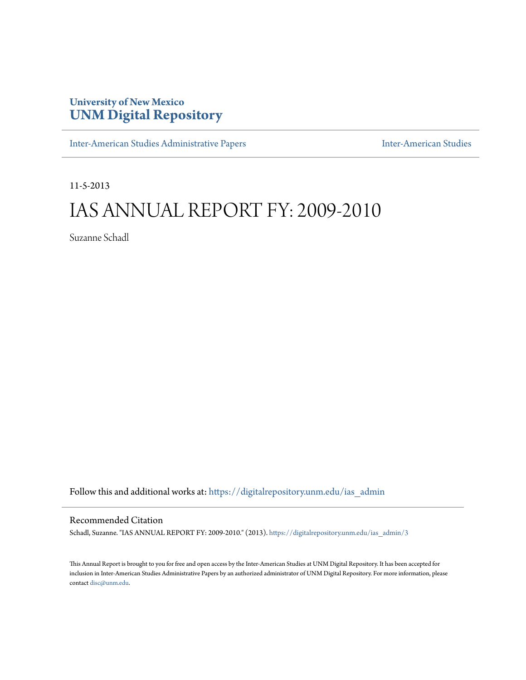## **University of New Mexico [UNM Digital Repository](https://digitalrepository.unm.edu?utm_source=digitalrepository.unm.edu%2Fias_admin%2F3&utm_medium=PDF&utm_campaign=PDFCoverPages)**

[Inter-American Studies Administrative Papers](https://digitalrepository.unm.edu/ias_admin?utm_source=digitalrepository.unm.edu%2Fias_admin%2F3&utm_medium=PDF&utm_campaign=PDFCoverPages) **[Inter-American Studies](https://digitalrepository.unm.edu/ias?utm_source=digitalrepository.unm.edu%2Fias_admin%2F3&utm_medium=PDF&utm_campaign=PDFCoverPages)** Inter-American Studies

11-5-2013

# IAS ANNUAL REPORT FY: 2009-2010

Suzanne Schadl

Follow this and additional works at: [https://digitalrepository.unm.edu/ias\\_admin](https://digitalrepository.unm.edu/ias_admin?utm_source=digitalrepository.unm.edu%2Fias_admin%2F3&utm_medium=PDF&utm_campaign=PDFCoverPages)

#### Recommended Citation

Schadl, Suzanne. "IAS ANNUAL REPORT FY: 2009-2010." (2013). [https://digitalrepository.unm.edu/ias\\_admin/3](https://digitalrepository.unm.edu/ias_admin/3?utm_source=digitalrepository.unm.edu%2Fias_admin%2F3&utm_medium=PDF&utm_campaign=PDFCoverPages)

This Annual Report is brought to you for free and open access by the Inter-American Studies at UNM Digital Repository. It has been accepted for inclusion in Inter-American Studies Administrative Papers by an authorized administrator of UNM Digital Repository. For more information, please contact [disc@unm.edu.](mailto:disc@unm.edu)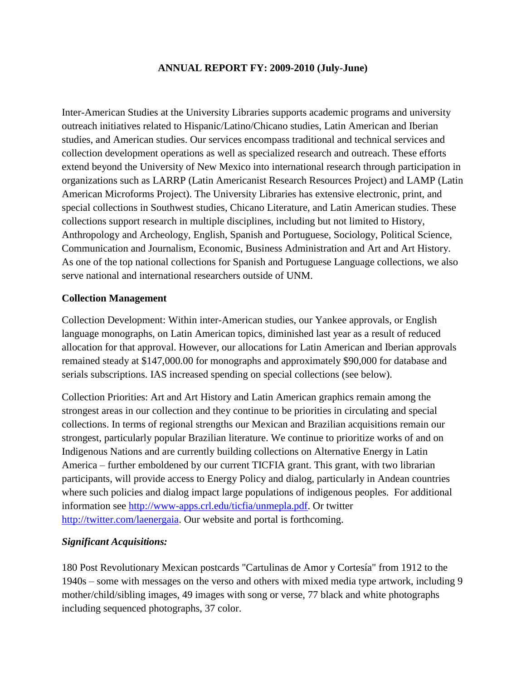#### **ANNUAL REPORT FY: 2009-2010 (July-June)**

Inter-American Studies at the University Libraries supports academic programs and university outreach initiatives related to Hispanic/Latino/Chicano studies, Latin American and Iberian studies, and American studies. Our services encompass traditional and technical services and collection development operations as well as specialized research and outreach. These efforts extend beyond the University of New Mexico into international research through participation in organizations such as LARRP (Latin Americanist Research Resources Project) and LAMP (Latin American Microforms Project). The University Libraries has extensive electronic, print, and special collections in Southwest studies, Chicano Literature, and Latin American studies. These collections support research in multiple disciplines, including but not limited to History, Anthropology and Archeology, English, Spanish and Portuguese, Sociology, Political Science, Communication and Journalism, Economic, Business Administration and Art and Art History. As one of the top national collections for Spanish and Portuguese Language collections, we also serve national and international researchers outside of UNM.

#### **Collection Management**

Collection Development: Within inter-American studies, our Yankee approvals, or English language monographs, on Latin American topics, diminished last year as a result of reduced allocation for that approval. However, our allocations for Latin American and Iberian approvals remained steady at \$147,000.00 for monographs and approximately \$90,000 for database and serials subscriptions. IAS increased spending on special collections (see below).

Collection Priorities: Art and Art History and Latin American graphics remain among the strongest areas in our collection and they continue to be priorities in circulating and special collections. In terms of regional strengths our Mexican and Brazilian acquisitions remain our strongest, particularly popular Brazilian literature. We continue to prioritize works of and on Indigenous Nations and are currently building collections on Alternative Energy in Latin America – further emboldened by our current TICFIA grant. This grant, with two librarian participants, will provide access to Energy Policy and dialog, particularly in Andean countries where such policies and dialog impact large populations of indigenous peoples. For additional information see [http://www-apps.crl.edu/ticfia/unmepla.pdf.](http://www-apps.crl.edu/ticfia/unmepla.pdf) Or twitter [http://twitter.com/laenergaia.](http://twitter.com/laenergaia) Our website and portal is forthcoming.

#### *Significant Acquisitions:*

180 Post Revolutionary Mexican postcards "Cartulinas de Amor y Cortesía" from 1912 to the 1940s – some with messages on the verso and others with mixed media type artwork, including 9 mother/child/sibling images, 49 images with song or verse, 77 black and white photographs including sequenced photographs, 37 color.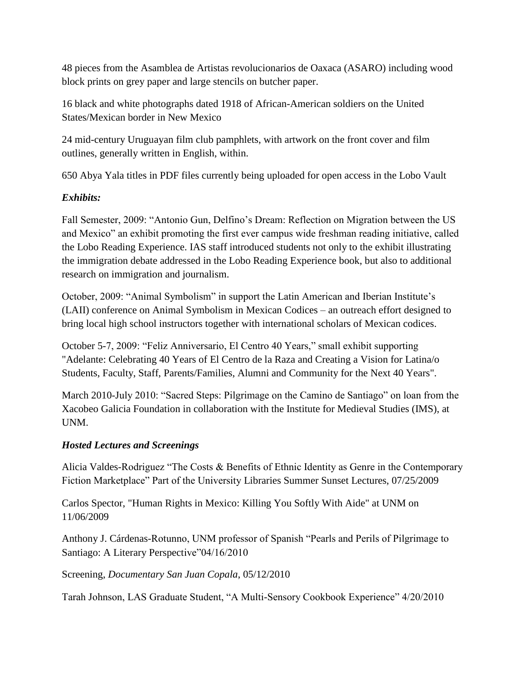48 pieces from the Asamblea de Artistas revolucionarios de Oaxaca (ASARO) including wood block prints on grey paper and large stencils on butcher paper.

16 black and white photographs dated 1918 of African-American soldiers on the United States/Mexican border in New Mexico

24 mid-century Uruguayan film club pamphlets, with artwork on the front cover and film outlines, generally written in English, within.

650 Abya Yala titles in PDF files currently being uploaded for open access in the Lobo Vault

### *Exhibits:*

Fall Semester, 2009: "Antonio Gun, Delfino's Dream: Reflection on Migration between the US and Mexico" an exhibit promoting the first ever campus wide freshman reading initiative, called the Lobo Reading Experience. IAS staff introduced students not only to the exhibit illustrating the immigration debate addressed in the Lobo Reading Experience book, but also to additional research on immigration and journalism.

October, 2009: "Animal Symbolism" in support the Latin American and Iberian Institute's (LAII) conference on Animal Symbolism in Mexican Codices – an outreach effort designed to bring local high school instructors together with international scholars of Mexican codices.

October 5-7, 2009: "Feliz Anniversario, El Centro 40 Years," small exhibit supporting "Adelante: Celebrating 40 Years of El Centro de la Raza and Creating a Vision for Latina/o Students, Faculty, Staff, Parents/Families, Alumni and Community for the Next 40 Years".

March 2010-July 2010: "Sacred Steps: Pilgrimage on the Camino de Santiago" on loan from the Xacobeo Galicia Foundation in collaboration with the Institute for Medieval Studies (IMS), at UNM.

#### *Hosted Lectures and Screenings*

Alicia Valdes-Rodriguez "The Costs & Benefits of Ethnic Identity as Genre in the Contemporary Fiction Marketplace" Part of the University Libraries Summer Sunset Lectures, 07/25/2009

Carlos Spector, "Human Rights in Mexico: Killing You Softly With Aide" at UNM on 11/06/2009

Anthony J. Cárdenas-Rotunno, UNM professor of Spanish "Pearls and Perils of Pilgrimage to Santiago: A Literary Perspective"04/16/2010

#### Screening, *Documentary San Juan Copala*, 05/12/2010

Tarah Johnson, LAS Graduate Student, "A Multi-Sensory Cookbook Experience" 4/20/2010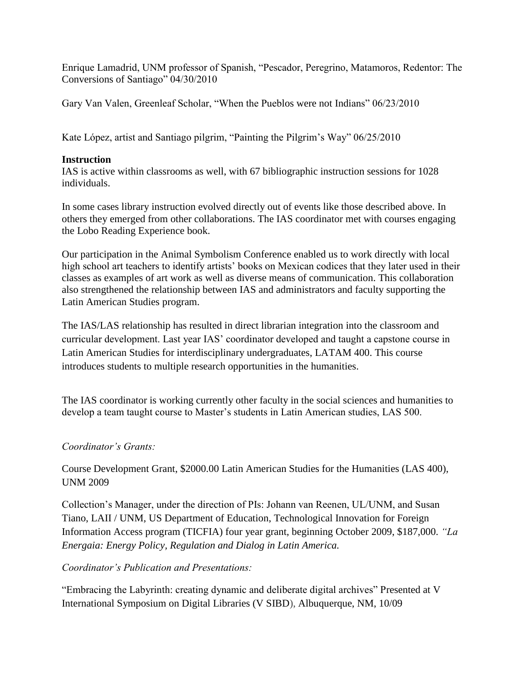Enrique Lamadrid, UNM professor of Spanish, "Pescador, Peregrino, Matamoros, Redentor: The Conversions of Santiago" 04/30/2010

Gary Van Valen, Greenleaf Scholar, "When the Pueblos were not Indians" 06/23/2010

Kate López, artist and Santiago pilgrim, "Painting the Pilgrim's Way" 06/25/2010

#### **Instruction**

IAS is active within classrooms as well, with 67 bibliographic instruction sessions for 1028 individuals.

In some cases library instruction evolved directly out of events like those described above. In others they emerged from other collaborations. The IAS coordinator met with courses engaging the Lobo Reading Experience book.

Our participation in the Animal Symbolism Conference enabled us to work directly with local high school art teachers to identify artists' books on Mexican codices that they later used in their classes as examples of art work as well as diverse means of communication. This collaboration also strengthened the relationship between IAS and administrators and faculty supporting the Latin American Studies program.

The IAS/LAS relationship has resulted in direct librarian integration into the classroom and curricular development. Last year IAS' coordinator developed and taught a capstone course in Latin American Studies for interdisciplinary undergraduates, LATAM 400. This course introduces students to multiple research opportunities in the humanities.

The IAS coordinator is working currently other faculty in the social sciences and humanities to develop a team taught course to Master's students in Latin American studies, LAS 500.

### *Coordinator's Grants:*

Course Development Grant, \$2000.00 Latin American Studies for the Humanities (LAS 400), UNM 2009

Collection's Manager, under the direction of PIs: Johann van Reenen, UL/UNM, and Susan Tiano, LAII / UNM, US Department of Education, Technological Innovation for Foreign Information Access program (TICFIA) four year grant, beginning October 2009, \$187,000. *"La Energaia: Energy Policy, Regulation and Dialog in Latin America.*

### *Coordinator's Publication and Presentations:*

"Embracing the Labyrinth: creating dynamic and deliberate digital archives" Presented at V International Symposium on Digital Libraries (V SIBD), Albuquerque, NM, 10/09